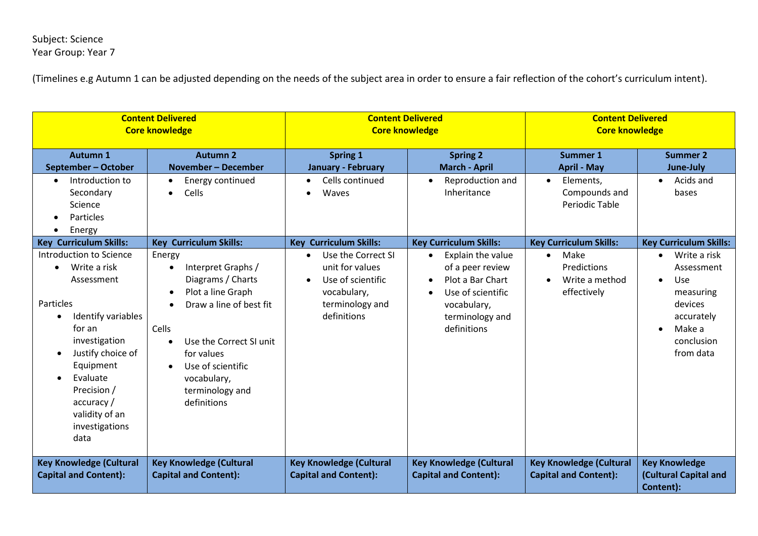## Subject: Science Year Group: Year 7

| <b>Content Delivered</b><br><b>Core knowledge</b>                                                                                                                                                                                                                                       |                                                                                                                                                                                                                                                                                      | <b>Content Delivered</b><br><b>Core knowledge</b>                                                                                                         |                                                                                                                                                                               | <b>Content Delivered</b><br><b>Core knowledge</b>                                                               |                                                                                                                                                                                      |
|-----------------------------------------------------------------------------------------------------------------------------------------------------------------------------------------------------------------------------------------------------------------------------------------|--------------------------------------------------------------------------------------------------------------------------------------------------------------------------------------------------------------------------------------------------------------------------------------|-----------------------------------------------------------------------------------------------------------------------------------------------------------|-------------------------------------------------------------------------------------------------------------------------------------------------------------------------------|-----------------------------------------------------------------------------------------------------------------|--------------------------------------------------------------------------------------------------------------------------------------------------------------------------------------|
| <b>Autumn 1</b><br>September - October<br>Introduction to<br>$\bullet$                                                                                                                                                                                                                  | <b>Autumn 2</b><br>November - December<br>Energy continued<br>$\bullet$                                                                                                                                                                                                              | <b>Spring 1</b><br>January - February<br>Cells continued<br>$\bullet$                                                                                     | <b>Spring 2</b><br><b>March - April</b><br>Reproduction and<br>$\bullet$                                                                                                      | <b>Summer 1</b><br><b>April - May</b><br>Elements,                                                              | <b>Summer 2</b><br>June-July<br>Acids and<br>$\bullet$                                                                                                                               |
| Secondary<br>Science<br>Particles<br>Energy<br>$\bullet$                                                                                                                                                                                                                                | Cells<br>$\bullet$                                                                                                                                                                                                                                                                   | Waves<br>$\bullet$                                                                                                                                        | Inheritance                                                                                                                                                                   | Compounds and<br><b>Periodic Table</b>                                                                          | bases                                                                                                                                                                                |
| <b>Key Curriculum Skills:</b><br>Introduction to Science<br>Write a risk<br>$\bullet$<br>Assessment<br>Particles<br>Identify variables<br>for an<br>investigation<br>Justify choice of<br>Equipment<br>Evaluate<br>Precision /<br>accuracy/<br>validity of an<br>investigations<br>data | <b>Key Curriculum Skills:</b><br>Energy<br>Interpret Graphs /<br>Diagrams / Charts<br>Plot a line Graph<br>Draw a line of best fit<br>Cells<br>Use the Correct SI unit<br>$\bullet$<br>for values<br>Use of scientific<br>$\bullet$<br>vocabulary,<br>terminology and<br>definitions | <b>Key Curriculum Skills:</b><br>Use the Correct SI<br>unit for values<br>Use of scientific<br>$\bullet$<br>vocabulary,<br>terminology and<br>definitions | <b>Key Curriculum Skills:</b><br>Explain the value<br>$\bullet$<br>of a peer review<br>Plot a Bar Chart<br>Use of scientific<br>vocabulary,<br>terminology and<br>definitions | <b>Key Curriculum Skills:</b><br>Make<br>$\bullet$<br>Predictions<br>Write a method<br>$\bullet$<br>effectively | <b>Key Curriculum Skills:</b><br>Write a risk<br>$\bullet$<br>Assessment<br>Use<br>$\bullet$<br>measuring<br>devices<br>accurately<br>Make a<br>$\bullet$<br>conclusion<br>from data |
| <b>Key Knowledge (Cultural</b><br><b>Capital and Content):</b>                                                                                                                                                                                                                          | <b>Key Knowledge (Cultural</b><br><b>Capital and Content):</b>                                                                                                                                                                                                                       | <b>Key Knowledge (Cultural</b><br><b>Capital and Content):</b>                                                                                            | <b>Key Knowledge (Cultural</b><br><b>Capital and Content):</b>                                                                                                                | <b>Key Knowledge (Cultural</b><br><b>Capital and Content):</b>                                                  | <b>Key Knowledge</b><br>(Cultural Capital and<br>Content):                                                                                                                           |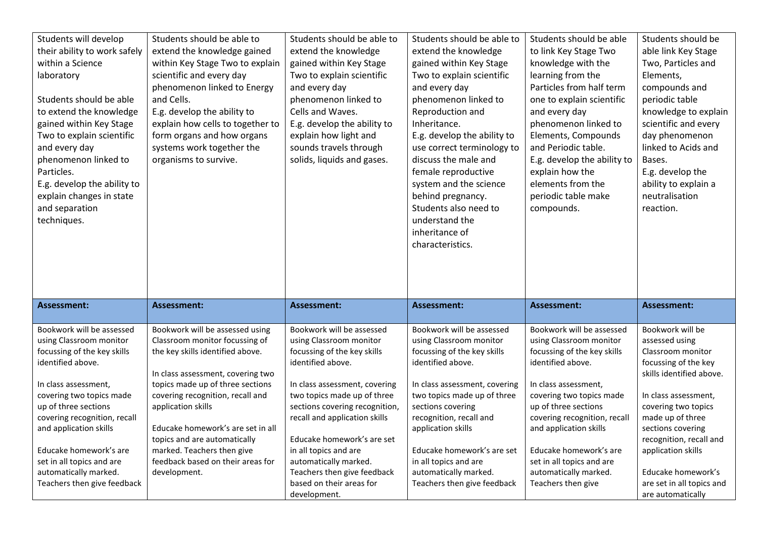| Students will develop        | Students should be able to                                      | Students should be able to               | Students should be able to    | Students should be able      | Students should be                            |
|------------------------------|-----------------------------------------------------------------|------------------------------------------|-------------------------------|------------------------------|-----------------------------------------------|
| their ability to work safely | extend the knowledge gained                                     | extend the knowledge                     | extend the knowledge          | to link Key Stage Two        | able link Key Stage                           |
| within a Science             | within Key Stage Two to explain                                 | gained within Key Stage                  | gained within Key Stage       | knowledge with the           | Two, Particles and                            |
| laboratory                   | scientific and every day                                        | Two to explain scientific                | Two to explain scientific     | learning from the            | Elements,                                     |
|                              | phenomenon linked to Energy                                     | and every day                            | and every day                 | Particles from half term     | compounds and                                 |
| Students should be able      | and Cells.                                                      | phenomenon linked to                     | phenomenon linked to          | one to explain scientific    | periodic table                                |
| to extend the knowledge      | E.g. develop the ability to                                     | Cells and Waves.                         | Reproduction and              | and every day                | knowledge to explain                          |
| gained within Key Stage      | explain how cells to together to                                | E.g. develop the ability to              | Inheritance.                  | phenomenon linked to         | scientific and every                          |
| Two to explain scientific    | form organs and how organs                                      | explain how light and                    | E.g. develop the ability to   | Elements, Compounds          | day phenomenon                                |
| and every day                | systems work together the                                       | sounds travels through                   | use correct terminology to    | and Periodic table.          | linked to Acids and                           |
| phenomenon linked to         | organisms to survive.                                           | solids, liquids and gases.               | discuss the male and          | E.g. develop the ability to  | Bases.                                        |
| Particles.                   |                                                                 |                                          | female reproductive           | explain how the              | E.g. develop the                              |
| E.g. develop the ability to  |                                                                 |                                          | system and the science        | elements from the            | ability to explain a                          |
| explain changes in state     |                                                                 |                                          | behind pregnancy.             | periodic table make          | neutralisation                                |
| and separation               |                                                                 |                                          | Students also need to         | compounds.                   | reaction.                                     |
| techniques.                  |                                                                 |                                          | understand the                |                              |                                               |
|                              |                                                                 |                                          | inheritance of                |                              |                                               |
|                              |                                                                 |                                          | characteristics.              |                              |                                               |
|                              |                                                                 |                                          |                               |                              |                                               |
|                              |                                                                 |                                          |                               |                              |                                               |
|                              |                                                                 |                                          |                               |                              |                                               |
|                              |                                                                 |                                          |                               |                              |                                               |
|                              |                                                                 |                                          |                               |                              |                                               |
| <b>Assessment:</b>           | <b>Assessment:</b>                                              | <b>Assessment:</b>                       | <b>Assessment:</b>            | <b>Assessment:</b>           | Assessment:                                   |
|                              |                                                                 |                                          |                               |                              |                                               |
| Bookwork will be assessed    | Bookwork will be assessed using                                 | Bookwork will be assessed                | Bookwork will be assessed     | Bookwork will be assessed    | Bookwork will be                              |
| using Classroom monitor      | Classroom monitor focussing of                                  | using Classroom monitor                  | using Classroom monitor       | using Classroom monitor      | assessed using                                |
| focussing of the key skills  | the key skills identified above.                                | focussing of the key skills              | focussing of the key skills   | focussing of the key skills  | Classroom monitor                             |
| identified above.            |                                                                 | identified above.                        | identified above.             | identified above.            | focussing of the key                          |
|                              | In class assessment, covering two                               |                                          |                               |                              | skills identified above.                      |
| In class assessment,         | topics made up of three sections                                | In class assessment, covering            | In class assessment, covering | In class assessment,         |                                               |
| covering two topics made     | covering recognition, recall and                                | two topics made up of three              | two topics made up of three   | covering two topics made     | In class assessment,                          |
| up of three sections         | application skills                                              | sections covering recognition,           | sections covering             | up of three sections         | covering two topics                           |
| covering recognition, recall |                                                                 | recall and application skills            | recognition, recall and       | covering recognition, recall | made up of three                              |
| and application skills       | Educake homework's are set in all                               | Educake homework's are set               | application skills            | and application skills       | sections covering                             |
| Educake homework's are       | topics and are automatically                                    | in all topics and are                    | Educake homework's are set    | Educake homework's are       | recognition, recall and<br>application skills |
| set in all topics and are    | marked. Teachers then give<br>feedback based on their areas for | automatically marked.                    | in all topics and are         | set in all topics and are    |                                               |
| automatically marked.        | development.                                                    | Teachers then give feedback              | automatically marked.         | automatically marked.        | Educake homework's                            |
| Teachers then give feedback  |                                                                 | based on their areas for<br>development. | Teachers then give feedback   | Teachers then give           | are set in all topics and                     |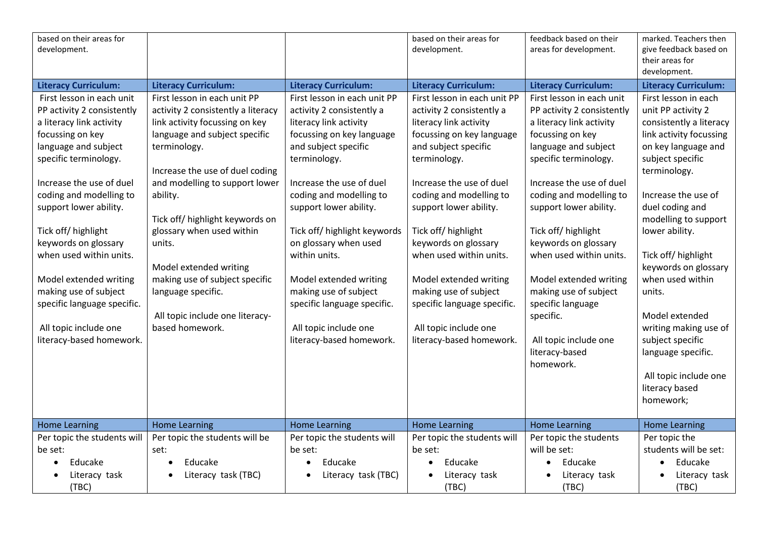| based on their areas for    |                                    |                              | based on their areas for     | feedback based on their     | marked. Teachers then       |
|-----------------------------|------------------------------------|------------------------------|------------------------------|-----------------------------|-----------------------------|
| development.                |                                    |                              | development.                 | areas for development.      | give feedback based on      |
|                             |                                    |                              |                              |                             | their areas for             |
|                             |                                    |                              |                              |                             | development.                |
| <b>Literacy Curriculum:</b> | <b>Literacy Curriculum:</b>        | <b>Literacy Curriculum:</b>  | <b>Literacy Curriculum:</b>  | <b>Literacy Curriculum:</b> | <b>Literacy Curriculum:</b> |
| First lesson in each unit   | First lesson in each unit PP       | First lesson in each unit PP | First lesson in each unit PP | First lesson in each unit   | First lesson in each        |
| PP activity 2 consistently  | activity 2 consistently a literacy | activity 2 consistently a    | activity 2 consistently a    | PP activity 2 consistently  | unit PP activity 2          |
| a literacy link activity    | link activity focussing on key     | literacy link activity       | literacy link activity       | a literacy link activity    | consistently a literacy     |
| focussing on key            | language and subject specific      | focussing on key language    | focussing on key language    | focussing on key            | link activity focussing     |
| language and subject        | terminology.                       | and subject specific         | and subject specific         | language and subject        | on key language and         |
| specific terminology.       |                                    | terminology.                 | terminology.                 | specific terminology.       | subject specific            |
|                             | Increase the use of duel coding    |                              |                              |                             | terminology.                |
| Increase the use of duel    | and modelling to support lower     | Increase the use of duel     | Increase the use of duel     | Increase the use of duel    |                             |
| coding and modelling to     | ability.                           | coding and modelling to      | coding and modelling to      | coding and modelling to     | Increase the use of         |
| support lower ability.      |                                    | support lower ability.       | support lower ability.       | support lower ability.      | duel coding and             |
|                             | Tick off/ highlight keywords on    |                              |                              |                             | modelling to support        |
| Tick off/ highlight         | glossary when used within          | Tick off/ highlight keywords | Tick off/ highlight          | Tick off/highlight          | lower ability.              |
| keywords on glossary        | units.                             | on glossary when used        | keywords on glossary         | keywords on glossary        |                             |
| when used within units.     |                                    | within units.                | when used within units.      | when used within units.     | Tick off/ highlight         |
|                             | Model extended writing             |                              |                              |                             | keywords on glossary        |
| Model extended writing      | making use of subject specific     | Model extended writing       | Model extended writing       | Model extended writing      | when used within            |
| making use of subject       | language specific.                 | making use of subject        | making use of subject        | making use of subject       | units.                      |
| specific language specific. |                                    | specific language specific.  | specific language specific.  | specific language           |                             |
|                             | All topic include one literacy-    |                              |                              | specific.                   | Model extended              |
| All topic include one       | based homework.                    | All topic include one        | All topic include one        |                             | writing making use of       |
| literacy-based homework.    |                                    | literacy-based homework.     | literacy-based homework.     | All topic include one       | subject specific            |
|                             |                                    |                              |                              | literacy-based              | language specific.          |
|                             |                                    |                              |                              | homework.                   |                             |
|                             |                                    |                              |                              |                             | All topic include one       |
|                             |                                    |                              |                              |                             | literacy based              |
|                             |                                    |                              |                              |                             | homework;                   |
|                             |                                    |                              |                              |                             |                             |
| <b>Home Learning</b>        | <b>Home Learning</b>               | <b>Home Learning</b>         | <b>Home Learning</b>         | <b>Home Learning</b>        | <b>Home Learning</b>        |
| Per topic the students will | Per topic the students will be     | Per topic the students will  | Per topic the students will  | Per topic the students      | Per topic the               |
| be set:                     | set:                               | be set:                      | be set:                      | will be set:                | students will be set:       |
| Educake                     | Educake                            | Educake<br>$\bullet$         | Educake                      | Educake                     | Educake<br>$\bullet$        |
| Literacy task               | Literacy task (TBC)                | Literacy task (TBC)          | Literacy task                | Literacy task               | Literacy task               |
| (TBC)                       |                                    |                              | (TBC)                        | (TBC)                       | (TBC)                       |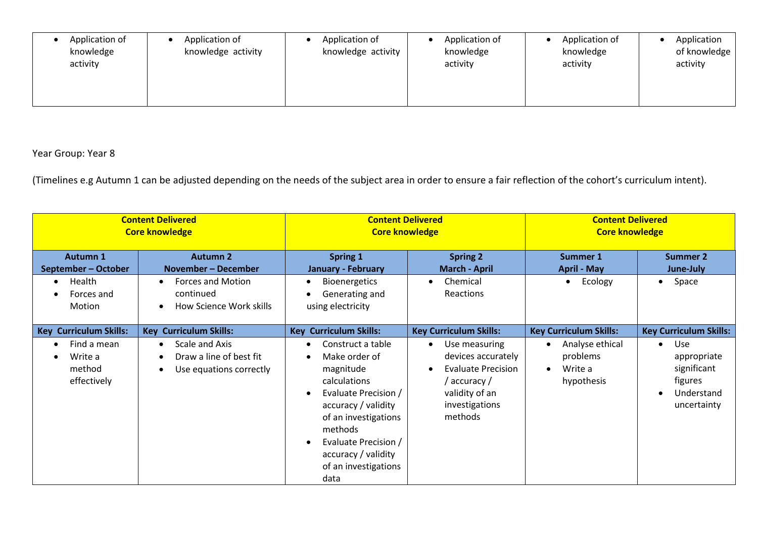| Application of<br>Application of<br>knowledge activity<br>knowledge<br>activity | Application of<br>Application of<br>knowledge activity<br>knowledge<br>activity | Application of<br>knowledge<br>activity | Application<br>of knowledge<br>activity |
|---------------------------------------------------------------------------------|---------------------------------------------------------------------------------|-----------------------------------------|-----------------------------------------|
|---------------------------------------------------------------------------------|---------------------------------------------------------------------------------|-----------------------------------------|-----------------------------------------|

| <b>Content Delivered</b><br><b>Core knowledge</b>            |                                                                                   | <b>Content Delivered</b><br><b>Core knowledge</b>                                                                                                                                                                                                          |                                                                                                                                              | <b>Content Delivered</b><br><b>Core knowledge</b>                 |                                                                                                     |
|--------------------------------------------------------------|-----------------------------------------------------------------------------------|------------------------------------------------------------------------------------------------------------------------------------------------------------------------------------------------------------------------------------------------------------|----------------------------------------------------------------------------------------------------------------------------------------------|-------------------------------------------------------------------|-----------------------------------------------------------------------------------------------------|
| <b>Autumn 1</b><br>September - October                       | <b>Autumn 2</b><br><b>November - December</b>                                     | <b>Spring 1</b><br><b>January - February</b>                                                                                                                                                                                                               | <b>Spring 2</b><br><b>March - April</b>                                                                                                      | Summer 1<br><b>April - May</b>                                    | <b>Summer 2</b><br>June-July                                                                        |
| Health<br>$\bullet$<br>Forces and<br>Motion                  | <b>Forces and Motion</b><br>continued<br>How Science Work skills                  | <b>Bioenergetics</b><br>$\bullet$<br>Generating and<br>using electricity                                                                                                                                                                                   | Chemical<br>Reactions                                                                                                                        | Ecology<br>$\bullet$                                              | Space<br>$\bullet$                                                                                  |
| <b>Curriculum Skills:</b><br><b>Key</b>                      | <b>Key Curriculum Skills:</b>                                                     | <b>Key Curriculum Skills:</b>                                                                                                                                                                                                                              | <b>Key Curriculum Skills:</b>                                                                                                                | <b>Key Curriculum Skills:</b>                                     | <b>Key Curriculum Skills:</b>                                                                       |
| Find a mean<br>$\bullet$<br>Write a<br>method<br>effectively | Scale and Axis<br>$\bullet$<br>Draw a line of best fit<br>Use equations correctly | Construct a table<br>$\bullet$<br>Make order of<br>$\bullet$<br>magnitude<br>calculations<br>Evaluate Precision /<br>accuracy / validity<br>of an investigations<br>methods<br>Evaluate Precision /<br>accuracy / validity<br>of an investigations<br>data | Use measuring<br>$\bullet$<br>devices accurately<br><b>Evaluate Precision</b><br>/ accuracy /<br>validity of an<br>investigations<br>methods | Analyse ethical<br>problems<br>Write a<br>$\bullet$<br>hypothesis | Use<br>$\bullet$<br>appropriate<br>significant<br>figures<br>Understand<br>$\bullet$<br>uncertainty |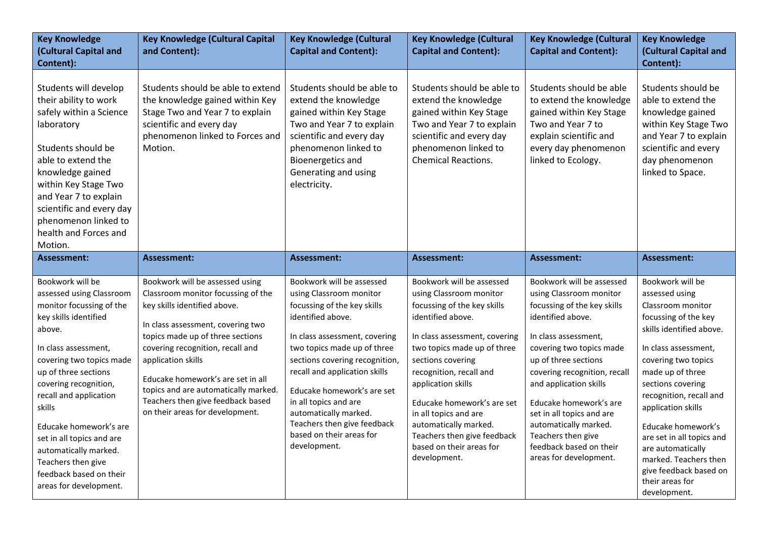| <b>Key Knowledge</b><br>(Cultural Capital and<br>Content):                                                                                                                                                                                                                                                                                                                                                      | <b>Key Knowledge (Cultural Capital</b><br>and Content):                                                                                                                                                                                                                                                                                                                                       | <b>Key Knowledge (Cultural</b><br><b>Capital and Content):</b>                                                                                                                                                                                                                                                                                                                                         | <b>Key Knowledge (Cultural</b><br><b>Capital and Content):</b>                                                                                                                                                                                                                                                                                                                                            | <b>Key Knowledge (Cultural</b><br><b>Capital and Content):</b>                                                                                                                                                                                                                                                                                                                                            | <b>Key Knowledge</b><br>(Cultural Capital and<br>Content):                                                                                                                                                                                                                                                                                                                                                         |
|-----------------------------------------------------------------------------------------------------------------------------------------------------------------------------------------------------------------------------------------------------------------------------------------------------------------------------------------------------------------------------------------------------------------|-----------------------------------------------------------------------------------------------------------------------------------------------------------------------------------------------------------------------------------------------------------------------------------------------------------------------------------------------------------------------------------------------|--------------------------------------------------------------------------------------------------------------------------------------------------------------------------------------------------------------------------------------------------------------------------------------------------------------------------------------------------------------------------------------------------------|-----------------------------------------------------------------------------------------------------------------------------------------------------------------------------------------------------------------------------------------------------------------------------------------------------------------------------------------------------------------------------------------------------------|-----------------------------------------------------------------------------------------------------------------------------------------------------------------------------------------------------------------------------------------------------------------------------------------------------------------------------------------------------------------------------------------------------------|--------------------------------------------------------------------------------------------------------------------------------------------------------------------------------------------------------------------------------------------------------------------------------------------------------------------------------------------------------------------------------------------------------------------|
| Students will develop<br>their ability to work<br>safely within a Science<br>laboratory<br>Students should be<br>able to extend the<br>knowledge gained<br>within Key Stage Two<br>and Year 7 to explain<br>scientific and every day<br>phenomenon linked to<br>health and Forces and<br>Motion.                                                                                                                | Students should be able to extend<br>the knowledge gained within Key<br>Stage Two and Year 7 to explain<br>scientific and every day<br>phenomenon linked to Forces and<br>Motion.                                                                                                                                                                                                             | Students should be able to<br>extend the knowledge<br>gained within Key Stage<br>Two and Year 7 to explain<br>scientific and every day<br>phenomenon linked to<br><b>Bioenergetics and</b><br>Generating and using<br>electricity.                                                                                                                                                                     | Students should be able to<br>extend the knowledge<br>gained within Key Stage<br>Two and Year 7 to explain<br>scientific and every day<br>phenomenon linked to<br><b>Chemical Reactions.</b>                                                                                                                                                                                                              | Students should be able<br>to extend the knowledge<br>gained within Key Stage<br>Two and Year 7 to<br>explain scientific and<br>every day phenomenon<br>linked to Ecology.                                                                                                                                                                                                                                | Students should be<br>able to extend the<br>knowledge gained<br>within Key Stage Two<br>and Year 7 to explain<br>scientific and every<br>day phenomenon<br>linked to Space.                                                                                                                                                                                                                                        |
| <b>Assessment:</b>                                                                                                                                                                                                                                                                                                                                                                                              | <b>Assessment:</b>                                                                                                                                                                                                                                                                                                                                                                            | <b>Assessment:</b>                                                                                                                                                                                                                                                                                                                                                                                     | <b>Assessment:</b>                                                                                                                                                                                                                                                                                                                                                                                        | <b>Assessment:</b>                                                                                                                                                                                                                                                                                                                                                                                        | Assessment:                                                                                                                                                                                                                                                                                                                                                                                                        |
| Bookwork will be<br>assessed using Classroom<br>monitor focussing of the<br>key skills identified<br>above.<br>In class assessment,<br>covering two topics made<br>up of three sections<br>covering recognition,<br>recall and application<br>skills<br>Educake homework's are<br>set in all topics and are<br>automatically marked.<br>Teachers then give<br>feedback based on their<br>areas for development. | Bookwork will be assessed using<br>Classroom monitor focussing of the<br>key skills identified above.<br>In class assessment, covering two<br>topics made up of three sections<br>covering recognition, recall and<br>application skills<br>Educake homework's are set in all<br>topics and are automatically marked.<br>Teachers then give feedback based<br>on their areas for development. | Bookwork will be assessed<br>using Classroom monitor<br>focussing of the key skills<br>identified above.<br>In class assessment, covering<br>two topics made up of three<br>sections covering recognition,<br>recall and application skills<br>Educake homework's are set<br>in all topics and are<br>automatically marked.<br>Teachers then give feedback<br>based on their areas for<br>development. | Bookwork will be assessed<br>using Classroom monitor<br>focussing of the key skills<br>identified above.<br>In class assessment, covering<br>two topics made up of three<br>sections covering<br>recognition, recall and<br>application skills<br>Educake homework's are set<br>in all topics and are<br>automatically marked.<br>Teachers then give feedback<br>based on their areas for<br>development. | Bookwork will be assessed<br>using Classroom monitor<br>focussing of the key skills<br>identified above.<br>In class assessment,<br>covering two topics made<br>up of three sections<br>covering recognition, recall<br>and application skills<br>Educake homework's are<br>set in all topics and are<br>automatically marked.<br>Teachers then give<br>feedback based on their<br>areas for development. | Bookwork will be<br>assessed using<br>Classroom monitor<br>focussing of the key<br>skills identified above.<br>In class assessment,<br>covering two topics<br>made up of three<br>sections covering<br>recognition, recall and<br>application skills<br>Educake homework's<br>are set in all topics and<br>are automatically<br>marked. Teachers then<br>give feedback based on<br>their areas for<br>development. |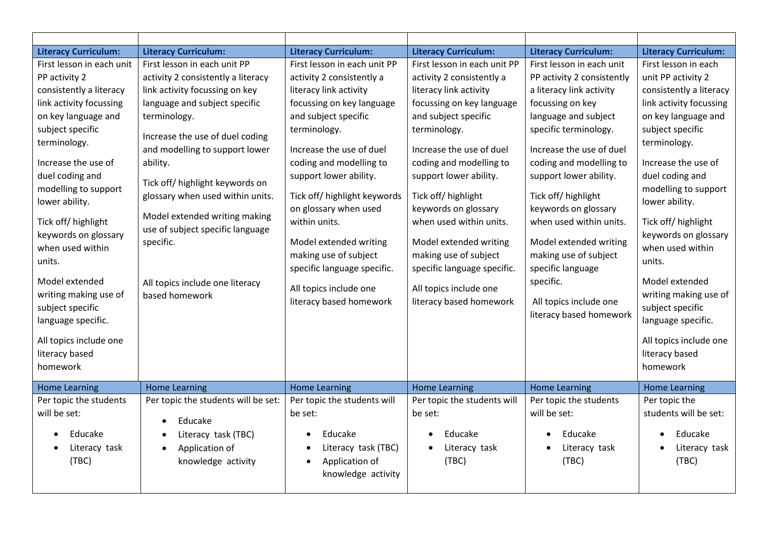| <b>Literacy Curriculum:</b>                                                                                                                                                                                                                                                                                                                                                                                                                                   | <b>Literacy Curriculum:</b>                                                                                                                                                                                                                                                                                                                                                                                                                          | <b>Literacy Curriculum:</b>                                                                                                                                                                                                                                                                                                                                                                                                                                | <b>Literacy Curriculum:</b>                                                                                                                                                                                                                                                                                                                                                                                                                                | <b>Literacy Curriculum:</b>                                                                                                                                                                                                                                                                                                                                                                                                                                  | <b>Literacy Curriculum:</b>                                                                                                                                                                                                                                                                                                                                                                                                                                   |
|---------------------------------------------------------------------------------------------------------------------------------------------------------------------------------------------------------------------------------------------------------------------------------------------------------------------------------------------------------------------------------------------------------------------------------------------------------------|------------------------------------------------------------------------------------------------------------------------------------------------------------------------------------------------------------------------------------------------------------------------------------------------------------------------------------------------------------------------------------------------------------------------------------------------------|------------------------------------------------------------------------------------------------------------------------------------------------------------------------------------------------------------------------------------------------------------------------------------------------------------------------------------------------------------------------------------------------------------------------------------------------------------|------------------------------------------------------------------------------------------------------------------------------------------------------------------------------------------------------------------------------------------------------------------------------------------------------------------------------------------------------------------------------------------------------------------------------------------------------------|--------------------------------------------------------------------------------------------------------------------------------------------------------------------------------------------------------------------------------------------------------------------------------------------------------------------------------------------------------------------------------------------------------------------------------------------------------------|---------------------------------------------------------------------------------------------------------------------------------------------------------------------------------------------------------------------------------------------------------------------------------------------------------------------------------------------------------------------------------------------------------------------------------------------------------------|
| First lesson in each unit<br>PP activity 2<br>consistently a literacy<br>link activity focussing<br>on key language and<br>subject specific<br>terminology.<br>Increase the use of<br>duel coding and<br>modelling to support<br>lower ability.<br>Tick off/ highlight<br>keywords on glossary<br>when used within<br>units.<br>Model extended<br>writing making use of<br>subject specific<br>language specific.<br>All topics include one<br>literacy based | First lesson in each unit PP<br>activity 2 consistently a literacy<br>link activity focussing on key<br>language and subject specific<br>terminology.<br>Increase the use of duel coding<br>and modelling to support lower<br>ability.<br>Tick off/ highlight keywords on<br>glossary when used within units.<br>Model extended writing making<br>use of subject specific language<br>specific.<br>All topics include one literacy<br>based homework | First lesson in each unit PP<br>activity 2 consistently a<br>literacy link activity<br>focussing on key language<br>and subject specific<br>terminology.<br>Increase the use of duel<br>coding and modelling to<br>support lower ability.<br>Tick off/ highlight keywords<br>on glossary when used<br>within units.<br>Model extended writing<br>making use of subject<br>specific language specific.<br>All topics include one<br>literacy based homework | First lesson in each unit PP<br>activity 2 consistently a<br>literacy link activity<br>focussing on key language<br>and subject specific<br>terminology.<br>Increase the use of duel<br>coding and modelling to<br>support lower ability.<br>Tick off/ highlight<br>keywords on glossary<br>when used within units.<br>Model extended writing<br>making use of subject<br>specific language specific.<br>All topics include one<br>literacy based homework | First lesson in each unit<br>PP activity 2 consistently<br>a literacy link activity<br>focussing on key<br>language and subject<br>specific terminology.<br>Increase the use of duel<br>coding and modelling to<br>support lower ability.<br>Tick off/highlight<br>keywords on glossary<br>when used within units.<br>Model extended writing<br>making use of subject<br>specific language<br>specific.<br>All topics include one<br>literacy based homework | First lesson in each<br>unit PP activity 2<br>consistently a literacy<br>link activity focussing<br>on key language and<br>subject specific<br>terminology.<br>Increase the use of<br>duel coding and<br>modelling to support<br>lower ability.<br>Tick off/ highlight<br>keywords on glossary<br>when used within<br>units.<br>Model extended<br>writing making use of<br>subject specific<br>language specific.<br>All topics include one<br>literacy based |
| homework                                                                                                                                                                                                                                                                                                                                                                                                                                                      |                                                                                                                                                                                                                                                                                                                                                                                                                                                      |                                                                                                                                                                                                                                                                                                                                                                                                                                                            |                                                                                                                                                                                                                                                                                                                                                                                                                                                            |                                                                                                                                                                                                                                                                                                                                                                                                                                                              | homework                                                                                                                                                                                                                                                                                                                                                                                                                                                      |
| <b>Home Learning</b>                                                                                                                                                                                                                                                                                                                                                                                                                                          | <b>Home Learning</b>                                                                                                                                                                                                                                                                                                                                                                                                                                 | <b>Home Learning</b>                                                                                                                                                                                                                                                                                                                                                                                                                                       | <b>Home Learning</b>                                                                                                                                                                                                                                                                                                                                                                                                                                       | <b>Home Learning</b>                                                                                                                                                                                                                                                                                                                                                                                                                                         | <b>Home Learning</b>                                                                                                                                                                                                                                                                                                                                                                                                                                          |
| Per topic the students<br>will be set:<br>Educake<br>Literacy task<br>(TBC)                                                                                                                                                                                                                                                                                                                                                                                   | Per topic the students will be set:<br>Educake<br>Literacy task (TBC)<br>Application of<br>$\bullet$<br>knowledge activity                                                                                                                                                                                                                                                                                                                           | Per topic the students will<br>be set:<br>Educake<br>Literacy task (TBC)<br>Application of<br>knowledge activity                                                                                                                                                                                                                                                                                                                                           | Per topic the students will<br>be set:<br>Educake<br>Literacy task<br>(TBC)                                                                                                                                                                                                                                                                                                                                                                                | Per topic the students<br>will be set:<br>Educake<br>Literacy task<br>(TBC)                                                                                                                                                                                                                                                                                                                                                                                  | Per topic the<br>students will be set:<br>Educake<br>Literacy task<br>(TBC)                                                                                                                                                                                                                                                                                                                                                                                   |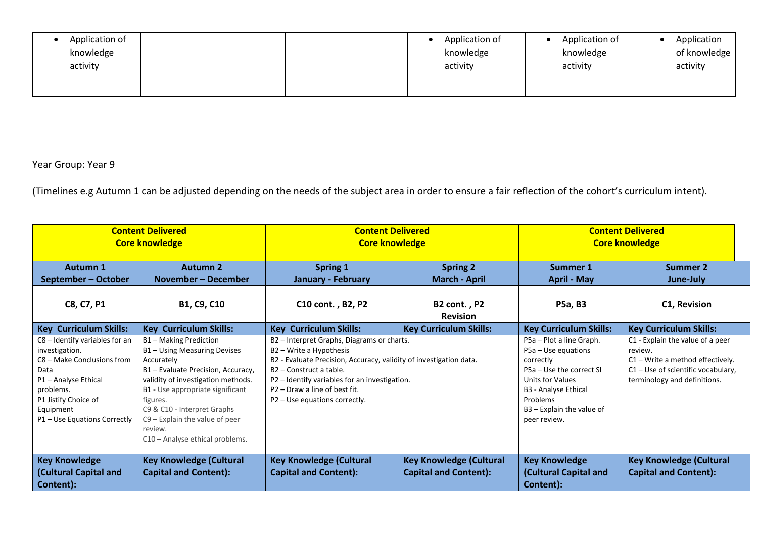| Application of<br>knowledge<br>activity |  | Application of<br>knowledge<br>activity | Application of<br>knowledge<br>activity | Application<br>of knowledge<br>activity |
|-----------------------------------------|--|-----------------------------------------|-----------------------------------------|-----------------------------------------|
|                                         |  |                                         |                                         |                                         |

| <b>Content Delivered</b><br><b>Core knowledge</b>                                                                                                                                                |                                                                                                                                                                                                                                                                                                                   | <b>Content Delivered</b><br><b>Core knowledge</b>                                                                                                                                                                                                                                                     |                                                                | <b>Content Delivered</b><br><b>Core knowledge</b>                                                                                                                                                        |                                                                                                                                                           |
|--------------------------------------------------------------------------------------------------------------------------------------------------------------------------------------------------|-------------------------------------------------------------------------------------------------------------------------------------------------------------------------------------------------------------------------------------------------------------------------------------------------------------------|-------------------------------------------------------------------------------------------------------------------------------------------------------------------------------------------------------------------------------------------------------------------------------------------------------|----------------------------------------------------------------|----------------------------------------------------------------------------------------------------------------------------------------------------------------------------------------------------------|-----------------------------------------------------------------------------------------------------------------------------------------------------------|
| Autumn 1<br>September - October                                                                                                                                                                  | <b>Autumn 2</b><br>November – December                                                                                                                                                                                                                                                                            | Spring 1<br><b>January - February</b>                                                                                                                                                                                                                                                                 | <b>Spring 2</b><br><b>March - April</b>                        | <b>Summer 1</b><br><b>April - May</b>                                                                                                                                                                    | Summer 2<br>June-July                                                                                                                                     |
| C8, C7, P1                                                                                                                                                                                       | B1, C9, C10                                                                                                                                                                                                                                                                                                       | C10 cont., B2, P2                                                                                                                                                                                                                                                                                     | B2 cont., P2<br><b>Revision</b>                                | <b>P5a, B3</b>                                                                                                                                                                                           | C1, Revision                                                                                                                                              |
| <b>Key Curriculum Skills:</b>                                                                                                                                                                    | <b>Key Curriculum Skills:</b>                                                                                                                                                                                                                                                                                     | <b>Key Curriculum Skills:</b>                                                                                                                                                                                                                                                                         | <b>Key Curriculum Skills:</b>                                  | <b>Key Curriculum Skills:</b>                                                                                                                                                                            | <b>Key Curriculum Skills:</b>                                                                                                                             |
| C8 - Identify variables for an<br>investigation.<br>C8 – Make Conclusions from<br>Data<br>P1 - Analyse Ethical<br>problems.<br>P1 Jistify Choice of<br>Equipment<br>P1 - Use Equations Correctly | B1 - Making Prediction<br>B1 - Using Measuring Devises<br>Accurately<br>B1 - Evaluate Precision, Accuracy,<br>validity of investigation methods.<br>B1 - Use appropriate significant<br>figures.<br>C9 & C10 - Interpret Graphs<br>$C9$ – Explain the value of peer<br>review.<br>C10 - Analyse ethical problems. | B2 - Interpret Graphs, Diagrams or charts.<br>B2 – Write a Hypothesis<br>B2 - Evaluate Precision, Accuracy, validity of investigation data.<br>B2 - Construct a table.<br>P2 - Identify variables for an investigation.<br>P <sub>2</sub> - Draw a line of best fit.<br>P2 - Use equations correctly. |                                                                | P5a - Plot a line Graph.<br>$P5a - Use equations$<br>correctly<br>P5a - Use the correct SI<br><b>Units for Values</b><br>B3 - Analyse Ethical<br>Problems<br>$B3 -$ Explain the value of<br>peer review. | C1 - Explain the value of a peer<br>review.<br>$C1 - Write a method effectively.$<br>$C1 -$ Use of scientific vocabulary,<br>terminology and definitions. |
| <b>Key Knowledge</b><br><b>Cultural Capital and</b><br>Content):                                                                                                                                 | <b>Key Knowledge (Cultural</b><br><b>Capital and Content):</b>                                                                                                                                                                                                                                                    | <b>Key Knowledge (Cultural</b><br><b>Capital and Content):</b>                                                                                                                                                                                                                                        | <b>Key Knowledge (Cultural</b><br><b>Capital and Content):</b> | <b>Key Knowledge</b><br>(Cultural Capital and<br>Content):                                                                                                                                               | <b>Key Knowledge (Cultural</b><br><b>Capital and Content):</b>                                                                                            |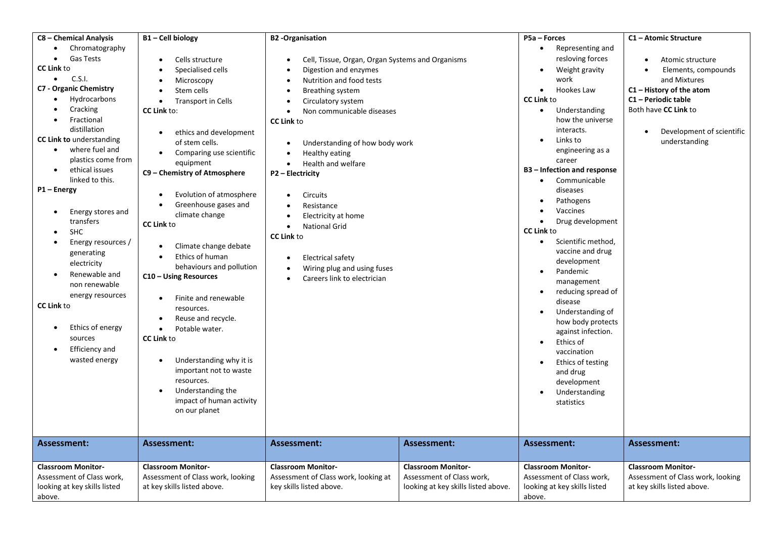| C8 - Chemical Analysis<br>Chromatography<br>$\bullet$<br><b>Gas Tests</b>                                                                                                                                                                                                                                                                                                                                                                                                                                                      | B1-Cell biology<br>Cells structure                                                                                                                                                                                                                                                                                                                                                                                                                                                                                                                                                                                                                                 | <b>B2</b> -Organisation<br>Cell, Tissue, Organ, Organ Systems and Organisms                                                                                                                                                                                                                                                                                                                                                                                                            |                                                                                               | P5a - Forces<br>Representing and<br>$\bullet$<br>resloving forces                                                                                                                                                                                                                                                                                                                                                                                                                                                                                                                                                                                                                                                   | C1 - Atomic Structure<br>Atomic structure                                                                                            |
|--------------------------------------------------------------------------------------------------------------------------------------------------------------------------------------------------------------------------------------------------------------------------------------------------------------------------------------------------------------------------------------------------------------------------------------------------------------------------------------------------------------------------------|--------------------------------------------------------------------------------------------------------------------------------------------------------------------------------------------------------------------------------------------------------------------------------------------------------------------------------------------------------------------------------------------------------------------------------------------------------------------------------------------------------------------------------------------------------------------------------------------------------------------------------------------------------------------|----------------------------------------------------------------------------------------------------------------------------------------------------------------------------------------------------------------------------------------------------------------------------------------------------------------------------------------------------------------------------------------------------------------------------------------------------------------------------------------|-----------------------------------------------------------------------------------------------|---------------------------------------------------------------------------------------------------------------------------------------------------------------------------------------------------------------------------------------------------------------------------------------------------------------------------------------------------------------------------------------------------------------------------------------------------------------------------------------------------------------------------------------------------------------------------------------------------------------------------------------------------------------------------------------------------------------------|--------------------------------------------------------------------------------------------------------------------------------------|
| <b>CC Link to</b><br>C.S.I.<br>$\bullet$                                                                                                                                                                                                                                                                                                                                                                                                                                                                                       | Specialised cells<br>Microscopy                                                                                                                                                                                                                                                                                                                                                                                                                                                                                                                                                                                                                                    | Digestion and enzymes<br>Nutrition and food tests                                                                                                                                                                                                                                                                                                                                                                                                                                      |                                                                                               | Weight gravity<br>$\bullet$<br>work                                                                                                                                                                                                                                                                                                                                                                                                                                                                                                                                                                                                                                                                                 | Elements, compounds<br>and Mixtures                                                                                                  |
| <b>C7 - Organic Chemistry</b><br>Hydrocarbons<br>Cracking<br>Fractional<br>distillation<br><b>CC Link to understanding</b><br>where fuel and<br>$\bullet$<br>plastics come from<br>ethical issues<br>$\bullet$<br>linked to this.<br>P1-Energy<br>Energy stores and<br>$\bullet$<br>transfers<br>SHC<br>Energy resources /<br>generating<br>electricity<br>Renewable and<br>non renewable<br>energy resources<br><b>CC Link to</b><br>Ethics of energy<br>$\bullet$<br>sources<br>Efficiency and<br>$\bullet$<br>wasted energy | Stem cells<br>Transport in Cells<br>$\bullet$<br><b>CC Link to:</b><br>ethics and development<br>of stem cells.<br>Comparing use scientific<br>$\bullet$<br>equipment<br>C9 - Chemistry of Atmosphere<br>Evolution of atmosphere<br>Greenhouse gases and<br>climate change<br><b>CC Link to</b><br>Climate change debate<br>Ethics of human<br>behaviours and pollution<br>C10 - Using Resources<br>Finite and renewable<br>resources.<br>Reuse and recycle.<br>Potable water.<br>$\bullet$<br><b>CC Link to</b><br>Understanding why it is<br>important not to waste<br>resources.<br>Understanding the<br>$\bullet$<br>impact of human activity<br>on our planet | Breathing system<br>Circulatory system<br>$\bullet$<br>Non communicable diseases<br>$\bullet$<br><b>CC Link to</b><br>Understanding of how body work<br>$\bullet$<br>Healthy eating<br>Health and welfare<br>$\bullet$<br>P2 - Electricity<br>Circuits<br>$\bullet$<br>Resistance<br>Electricity at home<br><b>National Grid</b><br>$\bullet$<br><b>CC Link to</b><br><b>Electrical safety</b><br>Wiring plug and using fuses<br>$\bullet$<br>Careers link to electrician<br>$\bullet$ |                                                                                               | Hookes Law<br>$\bullet$<br><b>CC Link to</b><br>Understanding<br>$\bullet$<br>how the universe<br>interacts.<br>Links to<br>$\bullet$<br>engineering as a<br>career<br>B3 - Infection and response<br>Communicable<br>$\bullet$<br>diseases<br>Pathogens<br>Vaccines<br>Drug development<br>$\bullet$<br><b>CC Link to</b><br>Scientific method,<br>$\bullet$<br>vaccine and drug<br>development<br>Pandemic<br>$\bullet$<br>management<br>reducing spread of<br>$\bullet$<br>disease<br>Understanding of<br>$\bullet$<br>how body protects<br>against infection.<br>Ethics of<br>$\bullet$<br>vaccination<br>Ethics of testing<br>$\bullet$<br>and drug<br>development<br>Understanding<br>$\bullet$<br>statistics | $C1$ – History of the atom<br>C1 - Periodic table<br>Both have CC Link to<br>Development of scientific<br>$\bullet$<br>understanding |
| <b>Assessment:</b>                                                                                                                                                                                                                                                                                                                                                                                                                                                                                                             | Assessment:                                                                                                                                                                                                                                                                                                                                                                                                                                                                                                                                                                                                                                                        | <b>Assessment:</b>                                                                                                                                                                                                                                                                                                                                                                                                                                                                     | <b>Assessment:</b>                                                                            | <b>Assessment:</b>                                                                                                                                                                                                                                                                                                                                                                                                                                                                                                                                                                                                                                                                                                  | <b>Assessment:</b>                                                                                                                   |
| <b>Classroom Monitor-</b><br>Assessment of Class work,<br>looking at key skills listed<br>above.                                                                                                                                                                                                                                                                                                                                                                                                                               | <b>Classroom Monitor-</b><br>Assessment of Class work, looking<br>at key skills listed above.                                                                                                                                                                                                                                                                                                                                                                                                                                                                                                                                                                      | <b>Classroom Monitor-</b><br>Assessment of Class work, looking at<br>key skills listed above.                                                                                                                                                                                                                                                                                                                                                                                          | <b>Classroom Monitor-</b><br>Assessment of Class work,<br>looking at key skills listed above. | <b>Classroom Monitor-</b><br>Assessment of Class work,<br>looking at key skills listed<br>above.                                                                                                                                                                                                                                                                                                                                                                                                                                                                                                                                                                                                                    | <b>Classroom Monitor-</b><br>Assessment of Class work, looking<br>at key skills listed above.                                        |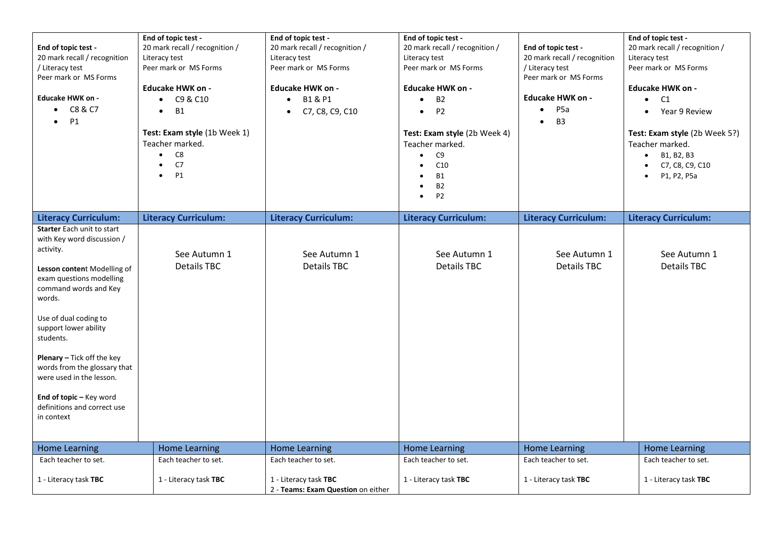| End of topic test -<br>20 mark recall / recognition<br>/ Literacy test<br>Peer mark or MS Forms<br>Educake HWK on -<br>$\bullet$ C8 & C7<br>P1<br>$\bullet$                                                                                                                                                                                                                                          | End of topic test -<br>20 mark recall / recognition /<br>Literacy test<br>Peer mark or MS Forms<br><b>Educake HWK on -</b><br>C9 & C10<br>$\bullet$<br><b>B1</b><br>$\bullet$<br>Test: Exam style (1b Week 1)<br>Teacher marked.<br>C8<br>$\bullet$<br>C7<br>$\bullet$<br><b>P1</b><br>$\bullet$ | End of topic test -<br>20 mark recall / recognition /<br>Literacy test<br>Peer mark or MS Forms<br>Educake HWK on -<br>B1 & P1<br>$\bullet$<br>C7, C8, C9, C10<br>$\bullet$ | End of topic test -<br>20 mark recall / recognition /<br>Literacy test<br>Peer mark or MS Forms<br>Educake HWK on -<br><b>B2</b><br>$\bullet$<br>P <sub>2</sub><br>$\bullet$<br>Test: Exam style (2b Week 4)<br>Teacher marked.<br>C <sub>9</sub><br>$\bullet$<br>C10<br><b>B1</b><br><b>B2</b><br>P <sub>2</sub><br>$\bullet$ | End of topic test -<br>20 mark recall / recognition<br>/ Literacy test<br>Peer mark or MS Forms<br><b>Educake HWK on -</b><br>P <sub>5a</sub><br>$\bullet$<br>B <sub>3</sub><br>$\bullet$ | End of topic test -<br>20 mark recall / recognition /<br>Literacy test<br>Peer mark or MS Forms<br><b>Educake HWK on -</b><br>C1<br>$\bullet$<br>• Year 9 Review<br>Test: Exam style (2b Week 5?)<br>Teacher marked.<br>B1, B2, B3<br>$\bullet$<br>C7, C8, C9, C10<br>P1, P2, P5a |
|------------------------------------------------------------------------------------------------------------------------------------------------------------------------------------------------------------------------------------------------------------------------------------------------------------------------------------------------------------------------------------------------------|--------------------------------------------------------------------------------------------------------------------------------------------------------------------------------------------------------------------------------------------------------------------------------------------------|-----------------------------------------------------------------------------------------------------------------------------------------------------------------------------|--------------------------------------------------------------------------------------------------------------------------------------------------------------------------------------------------------------------------------------------------------------------------------------------------------------------------------|-------------------------------------------------------------------------------------------------------------------------------------------------------------------------------------------|-----------------------------------------------------------------------------------------------------------------------------------------------------------------------------------------------------------------------------------------------------------------------------------|
| <b>Literacy Curriculum:</b>                                                                                                                                                                                                                                                                                                                                                                          | <b>Literacy Curriculum:</b>                                                                                                                                                                                                                                                                      | <b>Literacy Curriculum:</b>                                                                                                                                                 | <b>Literacy Curriculum:</b>                                                                                                                                                                                                                                                                                                    | <b>Literacy Curriculum:</b>                                                                                                                                                               | <b>Literacy Curriculum:</b>                                                                                                                                                                                                                                                       |
| Starter Each unit to start<br>with Key word discussion /<br>activity.<br>Lesson content Modelling of<br>exam questions modelling<br>command words and Key<br>words.<br>Use of dual coding to<br>support lower ability<br>students.<br>Plenary - Tick off the key<br>words from the glossary that<br>were used in the lesson.<br>End of topic - Key word<br>definitions and correct use<br>in context | See Autumn 1<br><b>Details TBC</b>                                                                                                                                                                                                                                                               | See Autumn 1<br><b>Details TBC</b>                                                                                                                                          | See Autumn 1<br><b>Details TBC</b>                                                                                                                                                                                                                                                                                             | See Autumn 1<br><b>Details TBC</b>                                                                                                                                                        | See Autumn 1<br><b>Details TBC</b>                                                                                                                                                                                                                                                |
| <b>Home Learning</b>                                                                                                                                                                                                                                                                                                                                                                                 | <b>Home Learning</b>                                                                                                                                                                                                                                                                             | <b>Home Learning</b>                                                                                                                                                        | <b>Home Learning</b>                                                                                                                                                                                                                                                                                                           | <b>Home Learning</b>                                                                                                                                                                      | <b>Home Learning</b>                                                                                                                                                                                                                                                              |
| Each teacher to set.<br>1 - Literacy task TBC                                                                                                                                                                                                                                                                                                                                                        | Each teacher to set.<br>1 - Literacy task TBC                                                                                                                                                                                                                                                    | Each teacher to set.<br>1 - Literacy task TBC<br>2 - Teams: Exam Question on either                                                                                         | Each teacher to set.<br>1 - Literacy task TBC                                                                                                                                                                                                                                                                                  | Each teacher to set.<br>1 - Literacy task TBC                                                                                                                                             | Each teacher to set.<br>1 - Literacy task TBC                                                                                                                                                                                                                                     |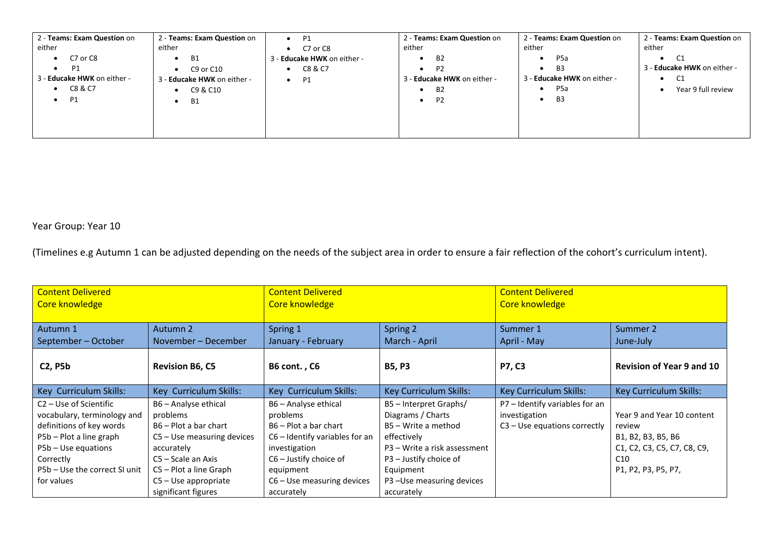| 2 - Teams: Exam Question on        | 2 - Teams: Exam Question on | $\bullet$ P1                | 2 - Teams: Exam Question on | 2 - Teams: Exam Question on   | 2 - Teams: Exam Question on |
|------------------------------------|-----------------------------|-----------------------------|-----------------------------|-------------------------------|-----------------------------|
| either                             | either                      | C7 or C8                    | either                      | either                        | either                      |
| C7 or C8<br>$\bullet$              | - B1<br>$\bullet$           | 3 - Educake HWK on either - | <b>B2</b><br>$\bullet$      | P <sub>5</sub> a<br>$\bullet$ | C1<br>$\bullet$             |
| P1<br>$\bullet$                    | C9 or C10                   | C8 & C7                     | P <sub>2</sub><br>٠         | B <sub>3</sub><br>$\bullet$   | 3 - Educake HWK on either - |
| 3 - <b>Educake HWK</b> on either - | 3 - Educake HWK on either - | $\bullet$ P1                | - Educake HWK on either -   | 3 - Educake HWK on either -   | C1<br>٠                     |
| C8 & C7                            | C9 & C10                    |                             | B <sub>2</sub>              | P <sub>5</sub> a<br>$\bullet$ | Year 9 full review          |
| P1<br>$\bullet$                    | B1<br>$\bullet$             |                             | P <sub>2</sub><br>$\bullet$ | B <sub>3</sub><br>$\bullet$   |                             |
|                                    |                             |                             |                             |                               |                             |
|                                    |                             |                             |                             |                               |                             |
|                                    |                             |                             |                             |                               |                             |

| <b>Content Delivered</b><br>Core knowledge |                              | <b>Content Delivered</b><br>Core knowledge |                              | <b>Content Delivered</b><br>Core knowledge |                                  |
|--------------------------------------------|------------------------------|--------------------------------------------|------------------------------|--------------------------------------------|----------------------------------|
|                                            |                              |                                            |                              |                                            |                                  |
| Autumn 1                                   | Autumn 2                     | Spring 1                                   | Spring 2                     | Summer 1                                   | Summer 2                         |
| September - October                        | November - December          | January - February                         | March - April                | April - May                                | June-July                        |
| <b>C2, P5b</b>                             | <b>Revision B6, C5</b>       | <b>B6 cont., C6</b>                        | <b>B5, P3</b>                | <b>P7, C3</b>                              | <b>Revision of Year 9 and 10</b> |
| Key Curriculum Skills:                     | Key Curriculum Skills:       | Key Curriculum Skills:                     | Key Curriculum Skills:       | <b>Key Curriculum Skills:</b>              | Key Curriculum Skills:           |
| C <sub>2</sub> – Use of Scientific         | B6 - Analyse ethical         | B6 - Analyse ethical                       | B5 - Interpret Graphs/       | P7 - Identify variables for an             |                                  |
| vocabulary, terminology and                | problems                     | problems                                   | Diagrams / Charts            | investigation                              | Year 9 and Year 10 content       |
| definitions of key words                   | B6 – Plot a bar chart        | B6 – Plot a bar chart                      | B5 – Write a method          | $C3 - Use equations correctly$             | review                           |
| P5b - Plot a line graph                    | $C5 -$ Use measuring devices | $C6$ – Identify variables for an           | effectively                  |                                            | B1, B2, B3, B5, B6               |
| $P5b - Use equations$                      | accurately                   | investigation                              | P3 – Write a risk assessment |                                            | C1, C2, C3, C5, C7, C8, C9,      |
| Correctly                                  | C5 – Scale an Axis           | $C6 -$ Justify choice of                   | P3 - Justify choice of       |                                            | C10                              |
| P5b – Use the correct SI unit              | C5 - Plot a line Graph       | equipment                                  | Equipment                    |                                            | P1, P2, P3, P5, P7,              |
| for values                                 | $C5 - Use appropriate$       | $C6 - Use measuring devices$               | P3-Use measuring devices     |                                            |                                  |
|                                            | significant figures          | accurately                                 | accurately                   |                                            |                                  |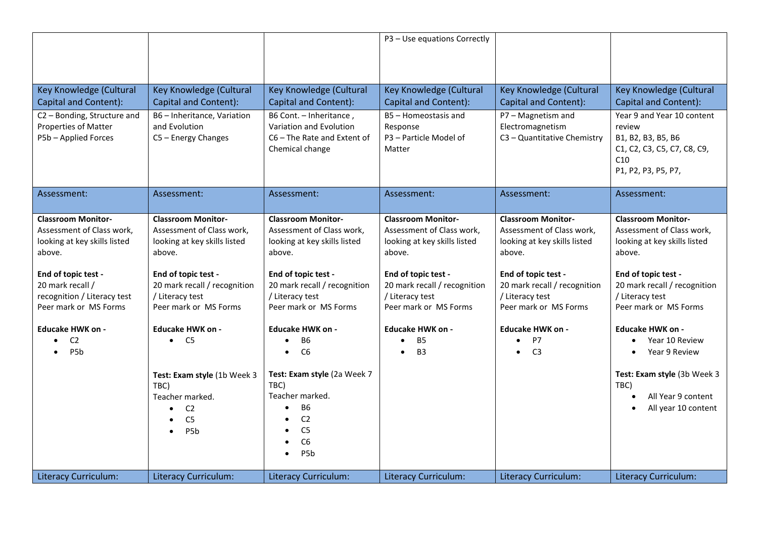|                                                                                                  |                                                                                                                |                                                                                                                                                             | P3 - Use equations Correctly                                                                     |                                                                                                  |                                                                                                                         |
|--------------------------------------------------------------------------------------------------|----------------------------------------------------------------------------------------------------------------|-------------------------------------------------------------------------------------------------------------------------------------------------------------|--------------------------------------------------------------------------------------------------|--------------------------------------------------------------------------------------------------|-------------------------------------------------------------------------------------------------------------------------|
| Key Knowledge (Cultural<br>Capital and Content):                                                 | Key Knowledge (Cultural<br>Capital and Content):                                                               | Key Knowledge (Cultural<br>Capital and Content):                                                                                                            | Key Knowledge (Cultural<br><b>Capital and Content):</b>                                          | Key Knowledge (Cultural<br>Capital and Content):                                                 | Key Knowledge (Cultural<br>Capital and Content):                                                                        |
| C2 - Bonding, Structure and<br>Properties of Matter<br>P5b - Applied Forces                      | B6 - Inheritance, Variation<br>and Evolution<br>C5 - Energy Changes                                            | B6 Cont. - Inheritance,<br>Variation and Evolution<br>C6-The Rate and Extent of<br>Chemical change                                                          | B5 - Homeostasis and<br>Response<br>P3 - Particle Model of<br>Matter                             | P7 - Magnetism and<br>Electromagnetism<br>C3 - Quantitative Chemistry                            | Year 9 and Year 10 content<br>review<br>B1, B2, B3, B5, B6<br>C1, C2, C3, C5, C7, C8, C9,<br>C10<br>P1, P2, P3, P5, P7, |
| Assessment:                                                                                      | Assessment:                                                                                                    | Assessment:                                                                                                                                                 | Assessment:                                                                                      | Assessment:                                                                                      | Assessment:                                                                                                             |
| <b>Classroom Monitor-</b><br>Assessment of Class work,<br>looking at key skills listed<br>above. | <b>Classroom Monitor-</b><br>Assessment of Class work,<br>looking at key skills listed<br>above.               | <b>Classroom Monitor-</b><br>Assessment of Class work,<br>looking at key skills listed<br>above.                                                            | <b>Classroom Monitor-</b><br>Assessment of Class work,<br>looking at key skills listed<br>above. | <b>Classroom Monitor-</b><br>Assessment of Class work,<br>looking at key skills listed<br>above. | <b>Classroom Monitor-</b><br>Assessment of Class work,<br>looking at key skills listed<br>above.                        |
| End of topic test -<br>20 mark recall /<br>recognition / Literacy test<br>Peer mark or MS Forms  | End of topic test -<br>20 mark recall / recognition<br>/ Literacy test<br>Peer mark or MS Forms                | End of topic test -<br>20 mark recall / recognition<br>/ Literacy test<br>Peer mark or MS Forms                                                             | End of topic test -<br>20 mark recall / recognition<br>/ Literacy test<br>Peer mark or MS Forms  | End of topic test -<br>20 mark recall / recognition<br>/ Literacy test<br>Peer mark or MS Forms  | End of topic test -<br>20 mark recall / recognition<br>/ Literacy test<br>Peer mark or MS Forms                         |
| <b>Educake HWK on -</b>                                                                          | <b>Educake HWK on -</b>                                                                                        | <b>Educake HWK on -</b>                                                                                                                                     | <b>Educake HWK on -</b>                                                                          | <b>Educake HWK on -</b>                                                                          | <b>Educake HWK on -</b>                                                                                                 |
| C <sub>2</sub><br>P <sub>5</sub> b                                                               | $\bullet$ C5                                                                                                   | <b>B6</b><br>$\bullet$<br>C6                                                                                                                                | <b>B5</b><br><b>B3</b>                                                                           | P7<br>$\bullet$<br>C <sub>3</sub>                                                                | Year 10 Review<br>Year 9 Review                                                                                         |
|                                                                                                  | Test: Exam style (1b Week 3<br>TBC)<br>Teacher marked.<br>C <sub>2</sub><br>C <sub>5</sub><br>P <sub>5</sub> b | Test: Exam style (2a Week 7<br>TBC)<br>Teacher marked.<br><b>B6</b><br>C <sub>2</sub><br>C <sub>5</sub><br>C6<br>$\bullet$<br>P <sub>5</sub> b<br>$\bullet$ |                                                                                                  |                                                                                                  | Test: Exam style (3b Week 3<br>TBC)<br>All Year 9 content<br>All year 10 content                                        |
| <b>Literacy Curriculum:</b>                                                                      | <b>Literacy Curriculum:</b>                                                                                    | <b>Literacy Curriculum:</b>                                                                                                                                 | <b>Literacy Curriculum:</b>                                                                      | <b>Literacy Curriculum:</b>                                                                      | <b>Literacy Curriculum:</b>                                                                                             |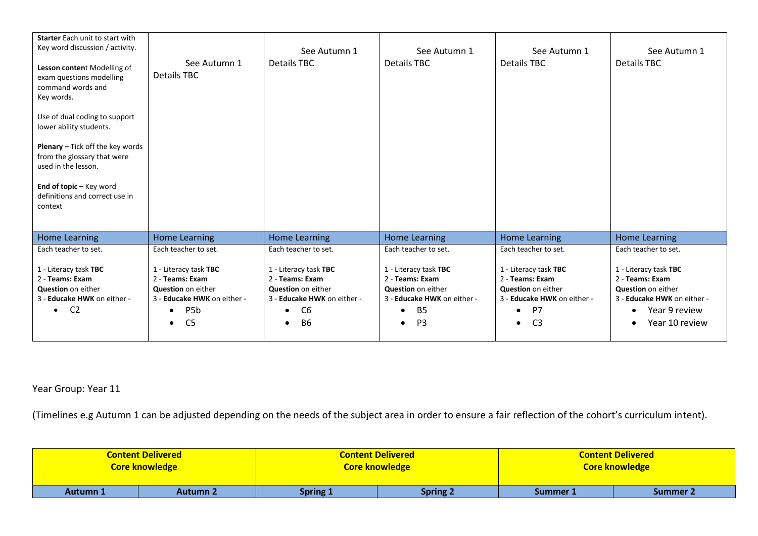| Starter Each unit to start with<br>Key word discussion / activity.<br>Lesson content Modelling of<br>exam questions modelling<br>command words and<br>Key words.<br>Use of dual coding to support<br>lower ability students.<br><b>Plenary - Tick off the key words</b><br>from the glossary that were<br>used in the lesson. | See Autumn 1<br><b>Details TBC</b>                                                                                                                            | See Autumn 1<br><b>Details TBC</b>                                                                                                               | See Autumn 1<br><b>Details TBC</b>                                                                                                  | See Autumn 1<br><b>Details TBC</b>                                                                                                              | See Autumn 1<br><b>Details TBC</b>                                                                                               |
|-------------------------------------------------------------------------------------------------------------------------------------------------------------------------------------------------------------------------------------------------------------------------------------------------------------------------------|---------------------------------------------------------------------------------------------------------------------------------------------------------------|--------------------------------------------------------------------------------------------------------------------------------------------------|-------------------------------------------------------------------------------------------------------------------------------------|-------------------------------------------------------------------------------------------------------------------------------------------------|----------------------------------------------------------------------------------------------------------------------------------|
| End of topic - Key word<br>definitions and correct use in<br>context                                                                                                                                                                                                                                                          |                                                                                                                                                               |                                                                                                                                                  |                                                                                                                                     |                                                                                                                                                 |                                                                                                                                  |
| <b>Home Learning</b>                                                                                                                                                                                                                                                                                                          | <b>Home Learning</b>                                                                                                                                          | <b>Home Learning</b>                                                                                                                             | Home Learning                                                                                                                       | <b>Home Learning</b>                                                                                                                            | Home Learning                                                                                                                    |
| Each teacher to set.                                                                                                                                                                                                                                                                                                          | Each teacher to set.                                                                                                                                          | Each teacher to set.                                                                                                                             | Each teacher to set.                                                                                                                | Each teacher to set.                                                                                                                            | Each teacher to set.                                                                                                             |
| 1 - Literacy task TBC<br>2 - Teams: Exam<br><b>Question</b> on either<br>3 - Educake HWK on either -<br>C <sub>2</sub><br>$\bullet$                                                                                                                                                                                           | 1 - Literacy task TBC<br>2 - Teams: Exam<br>Question on either<br>3 - Educake HWK on either -<br>P <sub>5</sub> b<br>$\bullet$<br>C <sub>5</sub><br>$\bullet$ | 1 - Literacy task TBC<br>2 - Teams: Exam<br><b>Question</b> on either<br>3 - Educake HWK on either -<br>C <sub>6</sub><br><b>B6</b><br>$\bullet$ | 1 - Literacy task TBC<br>2 - Teams: Exam<br><b>Question</b> on either<br>3 - Educake HWK on either -<br><b>B5</b><br>P <sub>3</sub> | 1 - Literacy task TBC<br>2 - Teams: Exam<br>Question on either<br>3 - Educake HWK on either -<br>P7<br>$\bullet$<br>C <sub>3</sub><br>$\bullet$ | 1 - Literacy task TBC<br>2 - Teams: Exam<br>Question on either<br>3 - Educake HWK on either -<br>Year 9 review<br>Year 10 review |

|                                    | <b>Content Delivered</b> | <b>Content Delivered</b> |                 | <b>Content Delivered</b> |          |
|------------------------------------|--------------------------|--------------------------|-----------------|--------------------------|----------|
|                                    | <b>Core knowledge</b>    | <b>Core knowledge</b>    |                 | <b>Core knowledge</b>    |          |
| <b>Autumn 1</b><br><b>Autumn 2</b> |                          | <b>Spring 1</b>          | <b>Spring 2</b> | Summer 1                 | Summer 2 |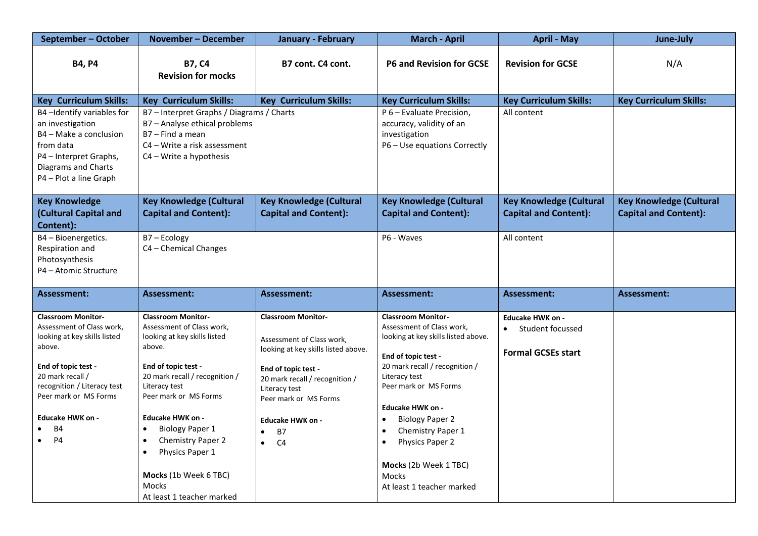| September - October                                                                                                                                                                                                                                            | November – December                                                                                                                                                                                                                                                                                                                                             | <b>January - February</b>                                                                                                                                                                                                                                                     | <b>March - April</b>                                                                                                                                                                                                                                                                                                                                                                   | <b>April - May</b>                                                       | June-July                                                      |
|----------------------------------------------------------------------------------------------------------------------------------------------------------------------------------------------------------------------------------------------------------------|-----------------------------------------------------------------------------------------------------------------------------------------------------------------------------------------------------------------------------------------------------------------------------------------------------------------------------------------------------------------|-------------------------------------------------------------------------------------------------------------------------------------------------------------------------------------------------------------------------------------------------------------------------------|----------------------------------------------------------------------------------------------------------------------------------------------------------------------------------------------------------------------------------------------------------------------------------------------------------------------------------------------------------------------------------------|--------------------------------------------------------------------------|----------------------------------------------------------------|
| <b>B4, P4</b>                                                                                                                                                                                                                                                  | <b>B7, C4</b><br><b>Revision for mocks</b>                                                                                                                                                                                                                                                                                                                      | B7 cont. C4 cont.                                                                                                                                                                                                                                                             | <b>P6 and Revision for GCSE</b>                                                                                                                                                                                                                                                                                                                                                        | <b>Revision for GCSE</b>                                                 | N/A                                                            |
| <b>Key Curriculum Skills:</b>                                                                                                                                                                                                                                  | <b>Key Curriculum Skills:</b>                                                                                                                                                                                                                                                                                                                                   | <b>Key Curriculum Skills:</b>                                                                                                                                                                                                                                                 | <b>Key Curriculum Skills:</b>                                                                                                                                                                                                                                                                                                                                                          | <b>Key Curriculum Skills:</b>                                            | <b>Key Curriculum Skills:</b>                                  |
| B4-Identify variables for<br>an investigation<br>B4 - Make a conclusion<br>from data<br>P4 - Interpret Graphs,<br>Diagrams and Charts<br>P4 - Plot a line Graph                                                                                                | B7 - Interpret Graphs / Diagrams / Charts<br>B7 - Analyse ethical problems<br>B7 - Find a mean<br>C4 – Write a risk assessment<br>$C4 - Write a hypothesis$                                                                                                                                                                                                     |                                                                                                                                                                                                                                                                               | P 6 - Evaluate Precision,<br>accuracy, validity of an<br>investigation<br>P6 - Use equations Correctly                                                                                                                                                                                                                                                                                 | All content                                                              |                                                                |
| <b>Key Knowledge</b><br>(Cultural Capital and<br>Content):                                                                                                                                                                                                     | <b>Key Knowledge (Cultural</b><br><b>Capital and Content):</b>                                                                                                                                                                                                                                                                                                  | <b>Key Knowledge (Cultural</b><br><b>Capital and Content):</b>                                                                                                                                                                                                                | <b>Key Knowledge (Cultural</b><br><b>Capital and Content):</b>                                                                                                                                                                                                                                                                                                                         | <b>Key Knowledge (Cultural</b><br><b>Capital and Content):</b>           | <b>Key Knowledge (Cultural</b><br><b>Capital and Content):</b> |
| B4 - Bioenergetics.<br>Respiration and<br>Photosynthesis<br>P4 - Atomic Structure                                                                                                                                                                              | B7-Ecology<br>C4 - Chemical Changes                                                                                                                                                                                                                                                                                                                             |                                                                                                                                                                                                                                                                               | P6 - Waves                                                                                                                                                                                                                                                                                                                                                                             | All content                                                              |                                                                |
| <b>Assessment:</b>                                                                                                                                                                                                                                             | Assessment:                                                                                                                                                                                                                                                                                                                                                     | <b>Assessment:</b>                                                                                                                                                                                                                                                            | Assessment:                                                                                                                                                                                                                                                                                                                                                                            | Assessment:                                                              | Assessment:                                                    |
| <b>Classroom Monitor-</b><br>Assessment of Class work,<br>looking at key skills listed<br>above.<br>End of topic test -<br>20 mark recall /<br>recognition / Literacy test<br>Peer mark or MS Forms<br><b>Educake HWK on -</b><br><b>B4</b><br>$\bullet$<br>P4 | <b>Classroom Monitor-</b><br>Assessment of Class work,<br>looking at key skills listed<br>above.<br>End of topic test -<br>20 mark recall / recognition /<br>Literacy test<br>Peer mark or MS Forms<br><b>Educake HWK on -</b><br><b>Biology Paper 1</b><br>Chemistry Paper 2<br>Physics Paper 1<br>Mocks (1b Week 6 TBC)<br>Mocks<br>At least 1 teacher marked | <b>Classroom Monitor-</b><br>Assessment of Class work,<br>looking at key skills listed above.<br>End of topic test -<br>20 mark recall / recognition /<br>Literacy test<br>Peer mark or MS Forms<br><b>Educake HWK on -</b><br>B7<br>$\bullet$<br>C <sub>4</sub><br>$\bullet$ | <b>Classroom Monitor-</b><br>Assessment of Class work,<br>looking at key skills listed above.<br>End of topic test -<br>20 mark recall / recognition /<br>Literacy test<br>Peer mark or MS Forms<br><b>Educake HWK on -</b><br><b>Biology Paper 2</b><br>Chemistry Paper 1<br>$\bullet$<br>Physics Paper 2<br>$\bullet$<br>Mocks (2b Week 1 TBC)<br>Mocks<br>At least 1 teacher marked | <b>Educake HWK on -</b><br>Student focussed<br><b>Formal GCSEs start</b> |                                                                |